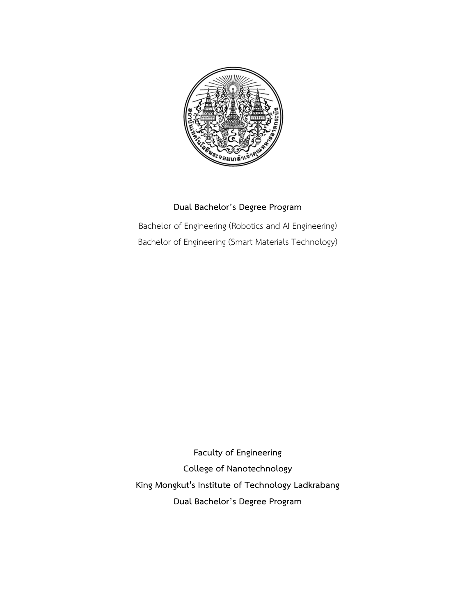

## **Dual Bachelor's Degree Program**

Bachelor of Engineering (Robotics and AI Engineering) Bachelor of Engineering (Smart Materials Technology)

**Faculty of Engineering College of Nanotechnology King Mongkut's Institute of Technology Ladkrabang Dual Bachelor's Degree Program**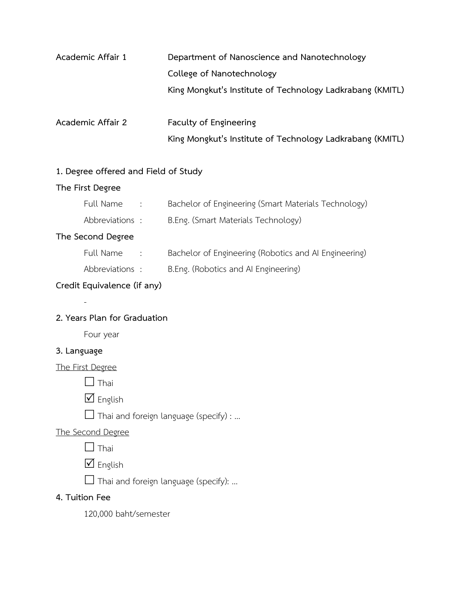| Academic Affair 1 | Department of Nanoscience and Nanotechnology              |  |  |  |
|-------------------|-----------------------------------------------------------|--|--|--|
|                   | College of Nanotechnology                                 |  |  |  |
|                   | King Mongkut's Institute of Technology Ladkrabang (KMITL) |  |  |  |
| Academic Affair 2 | Faculty of Engineering                                    |  |  |  |
|                   | King Mongkut's Institute of Technology Ladkrabang (KMITL) |  |  |  |

# **1. Degree offered and Field of Study**

## **The First Degree**

| Full Name         | $\cdot$ :        | Bachelor of Engineering (Smart Materials Technology)  |
|-------------------|------------------|-------------------------------------------------------|
| Abbreviations :   |                  | B.Eng. (Smart Materials Technology)                   |
| The Second Degree |                  |                                                       |
| Full Name         | $\sim$ 10 $\sim$ | Bachelor of Engineering (Robotics and AI Engineering) |
| Abbreviations :   |                  | B.Eng. (Robotics and AI Engineering)                  |

## **Credit Equivalence (if any)**

## **2. Years Plan for Graduation**

Four year

## **3. Language**

#### The First Degree

-

 $\Box$  Thai

 $\nabla$  English

 $\Box$  Thai and foreign language (specify) : ...

## The Second Degree

 $\Box$  Thai

 $\nabla$  English

□ Thai and foreign language (specify): ...

## **4. Tuition Fee**

120,000 baht/semester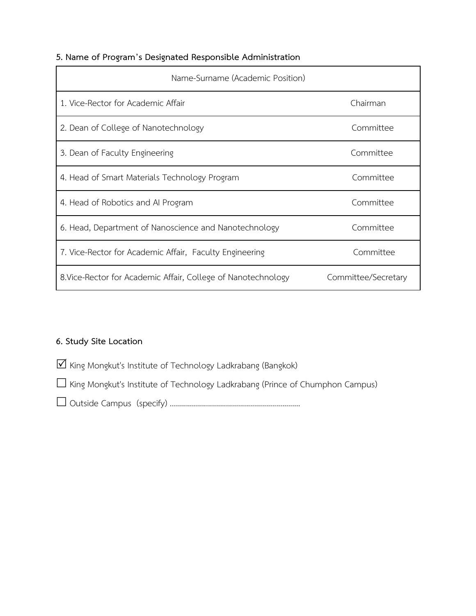## **5. Name of Program's Designated Responsible Administration**

| Name-Surname (Academic Position)                              |                     |
|---------------------------------------------------------------|---------------------|
| 1. Vice-Rector for Academic Affair                            | Chairman            |
| 2. Dean of College of Nanotechnology                          | Committee           |
| 3. Dean of Faculty Engineering                                | Committee           |
| 4. Head of Smart Materials Technology Program                 | Committee           |
| 4. Head of Robotics and AI Program                            | Committee           |
| 6. Head, Department of Nanoscience and Nanotechnology         | Committee           |
| 7. Vice-Rector for Academic Affair, Faculty Engineering       | Committee           |
| 8. Vice-Rector for Academic Affair, College of Nanotechnology | Committee/Secretary |

## **6. Study Site Location**

 $\overline{\mathbf{V}}$  King Mongkut's Institute of Technology Ladkrabang (Bangkok)

King Mongkut's Institute of Technology Ladkrabang (Prince of Chumphon Campus)

Outside Campus (specify) .................................................................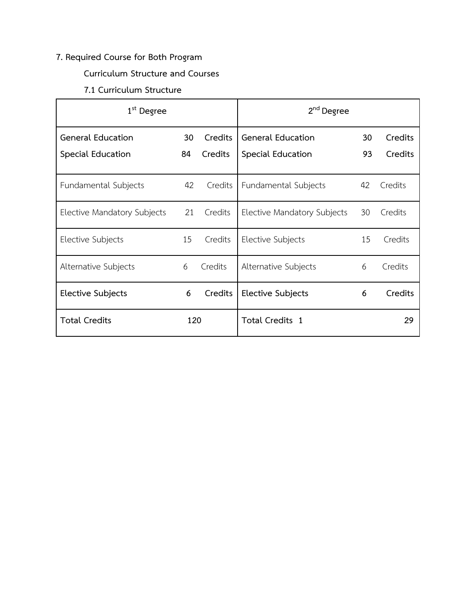## **7. Required Course for Both Program**

## **Curriculum Structure and Courses**

## **7.1 Curriculum Structure**

| $1st$ Degree                |     |         | 2 <sup>nd</sup> Degree      |    |         |
|-----------------------------|-----|---------|-----------------------------|----|---------|
| General Education           | 30  | Credits | <b>General Education</b>    | 30 | Credits |
| Special Education           | 84  | Credits | Special Education           | 93 | Credits |
| Fundamental Subjects        | 42  | Credits | Fundamental Subjects        | 42 | Credits |
| Elective Mandatory Subjects | 21  | Credits | Elective Mandatory Subjects | 30 | Credits |
| Elective Subjects           | 15  | Credits | Elective Subjects           | 15 | Credits |
| Alternative Subjects        | 6   | Credits | Alternative Subjects        | 6  | Credits |
| Elective Subjects           | 6   | Credits | Elective Subjects           | 6  | Credits |
| <b>Total Credits</b>        | 120 |         | Total Credits 1             |    | 29      |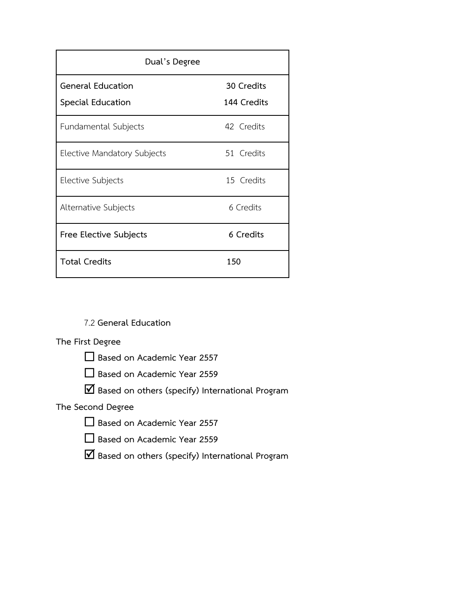| Dual's Degree                                 |                           |  |  |  |
|-----------------------------------------------|---------------------------|--|--|--|
| <b>General Education</b><br>Special Education | 30 Credits<br>144 Credits |  |  |  |
| Fundamental Subjects                          | 42 Credits                |  |  |  |
| Elective Mandatory Subjects                   | 51 Credits                |  |  |  |
| Elective Subjects                             | 15 Credits                |  |  |  |
| Alternative Subjects                          | 6 Credits                 |  |  |  |
| Free Elective Subjects                        | 6 Credits                 |  |  |  |
| <b>Total Credits</b>                          | 150                       |  |  |  |

7.2 **General Education**

### **The First Degree**

**Based on Academic Year 2557**

**Based on Academic Year 2559**

**Based on others (specify) International Program**

**The Second Degree**

|  |  |  | $\Box$ Based on Academic Year 2557 |  |  |
|--|--|--|------------------------------------|--|--|
|--|--|--|------------------------------------|--|--|

**Based on Academic Year 2559**

**Based on others (specify) International Program**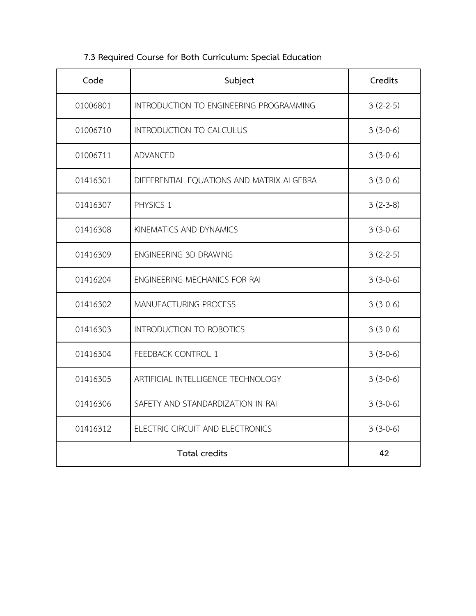| Code     | Subject                                   | Credits    |
|----------|-------------------------------------------|------------|
| 01006801 | INTRODUCTION TO ENGINEERING PROGRAMMING   | $3(2-2-5)$ |
| 01006710 | <b>INTRODUCTION TO CALCULUS</b>           | $3(3-0-6)$ |
| 01006711 | <b>ADVANCED</b>                           | $3(3-0-6)$ |
| 01416301 | DIFFERENTIAL EQUATIONS AND MATRIX ALGEBRA | $3(3-0-6)$ |
| 01416307 | PHYSICS 1                                 | $3(2-3-8)$ |
| 01416308 | KINEMATICS AND DYNAMICS                   | $3(3-0-6)$ |
| 01416309 | ENGINEERING 3D DRAWING                    | $3(2-2-5)$ |
| 01416204 | ENGINEERING MECHANICS FOR RAI             | $3(3-0-6)$ |
| 01416302 | MANUFACTURING PROCESS                     | $3(3-0-6)$ |
| 01416303 | <b>INTRODUCTION TO ROBOTICS</b>           | $3(3-0-6)$ |
| 01416304 | <b>FEEDBACK CONTROL 1</b>                 | $3(3-0-6)$ |
| 01416305 | ARTIFICIAL INTELLIGENCE TECHNOLOGY        | $3(3-0-6)$ |
| 01416306 | SAFETY AND STANDARDIZATION IN RAI         | $3(3-0-6)$ |
| 01416312 | ELECTRIC CIRCUIT AND ELECTRONICS          | $3(3-0-6)$ |
|          | 42                                        |            |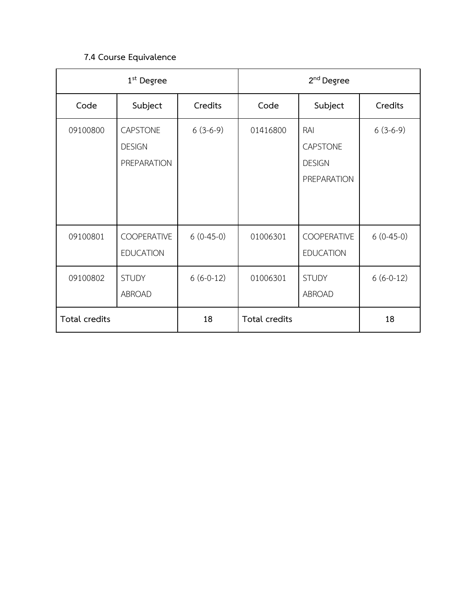## **7.4 Course Equivalence**

|               | 1 <sup>st</sup> Degree                                 |             |               | 2 <sup>nd</sup> Degree                                 |             |
|---------------|--------------------------------------------------------|-------------|---------------|--------------------------------------------------------|-------------|
| Code          | Subject                                                | Credits     | Code          | Subject                                                | Credits     |
| 09100800      | <b>CAPSTONE</b><br><b>DESIGN</b><br><b>PREPARATION</b> | $6(3-6-9)$  | 01416800      | RAI<br><b>CAPSTONE</b><br><b>DESIGN</b><br>PREPARATION | $6(3-6-9)$  |
| 09100801      | <b>COOPERATIVE</b><br><b>EDUCATION</b>                 | $6(0-45-0)$ | 01006301      | COOPERATIVE<br><b>EDUCATION</b>                        | $6(0-45-0)$ |
| 09100802      | <b>STUDY</b><br>ABROAD                                 | $6(6-0-12)$ | 01006301      | <b>STUDY</b><br>ABROAD                                 | $6(6-0-12)$ |
| Total credits |                                                        | 18          | Total credits |                                                        | 18          |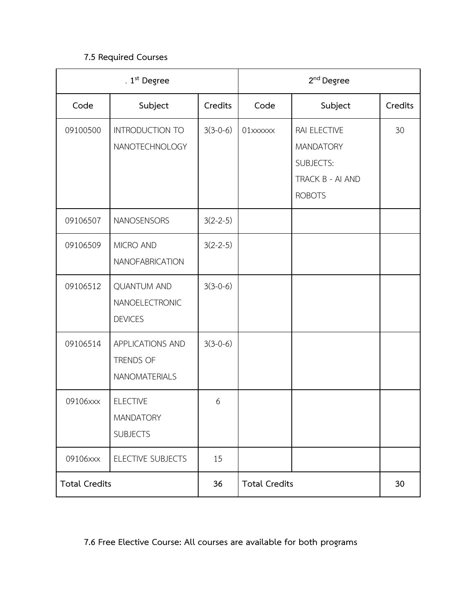## **7.5 Required Courses**

|                      | . $1st$ Degree                                         |            |                      | $2nd$ Degree                                                                              |         |
|----------------------|--------------------------------------------------------|------------|----------------------|-------------------------------------------------------------------------------------------|---------|
| Code                 | Subject                                                | Credits    | Code                 | Subject                                                                                   | Credits |
| 09100500             | INTRODUCTION TO<br>NANOTECHNOLOGY                      | $3(3-0-6)$ | 01xxxxxx             | RAI ELECTIVE<br><b>MANDATORY</b><br><b>SUBJECTS:</b><br>TRACK B - AI AND<br><b>ROBOTS</b> | 30      |
| 09106507             | NANOSENSORS                                            | $3(2-2-5)$ |                      |                                                                                           |         |
| 09106509             | MICRO AND<br><b>NANOFABRICATION</b>                    | $3(2-2-5)$ |                      |                                                                                           |         |
| 09106512             | <b>QUANTUM AND</b><br>NANOELECTRONIC<br><b>DEVICES</b> | $3(3-0-6)$ |                      |                                                                                           |         |
| 09106514             | APPLICATIONS AND<br>TRENDS OF<br><b>NANOMATERIALS</b>  | $3(3-0-6)$ |                      |                                                                                           |         |
| 09106xxx             | <b>ELECTIVE</b><br><b>MANDATORY</b><br><b>SUBJECTS</b> | 6          |                      |                                                                                           |         |
| 09106xxx             | ELECTIVE SUBJECTS                                      | 15         |                      |                                                                                           |         |
| <b>Total Credits</b> |                                                        | 36         | <b>Total Credits</b> |                                                                                           | 30      |

# **7.6 Free Elective Course: All courses are available for both programs**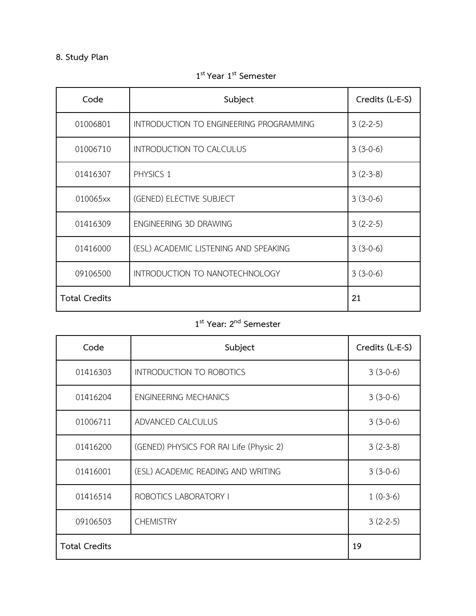# **8. Study Plan**

| Code                 | Subject                                 | Credits (L-E-S) |
|----------------------|-----------------------------------------|-----------------|
| 01006801             | INTRODUCTION TO ENGINEERING PROGRAMMING | $3(2-2-5)$      |
| 01006710             | INTRODUCTION TO CALCULUS                | $3(3-0-6)$      |
| 01416307             | PHYSICS 1                               | $3(2-3-8)$      |
| 010065xx             | (GENED) ELECTIVE SUBJECT                | $3(3-0-6)$      |
| 01416309             | ENGINEERING 3D DRAWING                  | $3(2-2-5)$      |
| 01416000             | (ESL) ACADEMIC LISTENING AND SPEAKING   | $3(3-0-6)$      |
| 09106500             | INTRODUCTION TO NANOTECHNOLOGY          | $3(3-0-6)$      |
| <b>Total Credits</b> |                                         | 21              |

**st Year 1st Semester**

# **st Year: 2 nd Semester**

| Code                 | Subject                                 | Credits (L-E-S) |
|----------------------|-----------------------------------------|-----------------|
| 01416303             | INTRODUCTION TO ROBOTICS                | $3(3-0-6)$      |
| 01416204             | <b>ENGINEERING MECHANICS</b>            | $3(3-0-6)$      |
| 01006711             | ADVANCED CALCULUS                       | $3(3-0-6)$      |
| 01416200             | (GENED) PHYSICS FOR RAI Life (Physic 2) | $3(2-3-8)$      |
| 01416001             | (ESL) ACADEMIC READING AND WRITING      | $3(3-0-6)$      |
| 01416514             | ROBOTICS LABORATORY I                   | $1(0-3-6)$      |
| 09106503             | <b>CHEMISTRY</b>                        | $3(2-2-5)$      |
| <b>Total Credits</b> |                                         | 19              |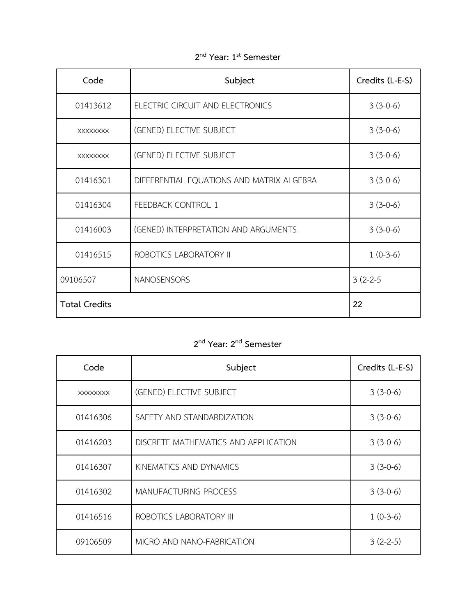| Code                 | Subject                                   | Credits (L-E-S) |
|----------------------|-------------------------------------------|-----------------|
| 01413612             | ELECTRIC CIRCUIT AND ELECTRONICS          | $3(3-0-6)$      |
| <b>XXXXXXXX</b>      | (GENED) ELECTIVE SUBJECT                  | $3(3-0-6)$      |
| <b>XXXXXXXX</b>      | (GENED) ELECTIVE SUBJECT                  | $3(3-0-6)$      |
| 01416301             | DIFFERENTIAL EQUATIONS AND MATRIX ALGEBRA | $3(3-0-6)$      |
| 01416304             | FEEDBACK CONTROL 1                        | $3(3-0-6)$      |
| 01416003             | (GENED) INTERPRETATION AND ARGUMENTS      | $3(3-0-6)$      |
| 01416515             | ROBOTICS LABORATORY II                    | $1(0-3-6)$      |
| 09106507             | NANOSENSORS                               | $3(2-2-5)$      |
| <b>Total Credits</b> |                                           | 22              |

**nd Year: 1 st Semester**

# **nd Year: 2 nd Semester**

| Code            | Subject                              | Credits (L-E-S) |
|-----------------|--------------------------------------|-----------------|
| <b>XXXXXXXX</b> | (GENED) ELECTIVE SUBJECT             | $3(3-0-6)$      |
| 01416306        | SAFETY AND STANDARDIZATION           | $3(3-0-6)$      |
| 01416203        | DISCRETE MATHEMATICS AND APPLICATION | $3(3-0-6)$      |
| 01416307        | KINEMATICS AND DYNAMICS              | $3(3-0-6)$      |
| 01416302        | MANUFACTURING PROCESS                | $3(3-0-6)$      |
| 01416516        | ROBOTICS LABORATORY III              | $1(0-3-6)$      |
| 09106509        | MICRO AND NANO-FABRICATION           | $3(2-2-5)$      |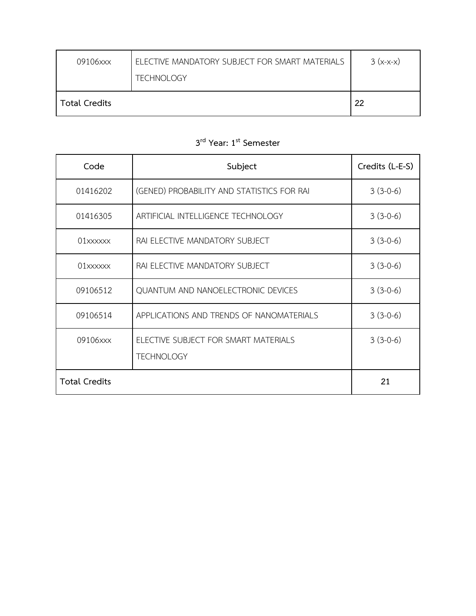| 09106xxx             | ELECTIVE MANDATORY SUBJECT FOR SMART MATERIALS<br><b>TECHNOLOGY</b> | $3(x-x-x)$ |
|----------------------|---------------------------------------------------------------------|------------|
| <b>Total Credits</b> |                                                                     | 22         |

| Code                   | Subject                                                   | Credits (L-E-S) |
|------------------------|-----------------------------------------------------------|-----------------|
| 01416202               | (GENED) PROBABILITY AND STATISTICS FOR RAI                | $3(3-0-6)$      |
| 01416305               | ARTIFICIAL INTELLIGENCE TECHNOLOGY                        | $3(3-0-6)$      |
| $01$ $xx$ $xx$ $x$ $x$ | RAI ELECTIVE MANDATORY SUBJECT                            | $3(3-0-6)$      |
|                        | RAI ELECTIVE MANDATORY SUBJECT                            | $3(3-0-6)$      |
| 09106512               | QUANTUM AND NANOELECTRONIC DEVICES                        | $3(3-0-6)$      |
| 09106514               | APPLICATIONS AND TRENDS OF NANOMATERIALS                  | $3(3-0-6)$      |
| 09106xxx               | ELECTIVE SUBJECT FOR SMART MATERIALS<br><b>TECHNOLOGY</b> | $3(3-0-6)$      |
| <b>Total Credits</b>   |                                                           | 21              |

# **3 rd Year: 1 st Semester**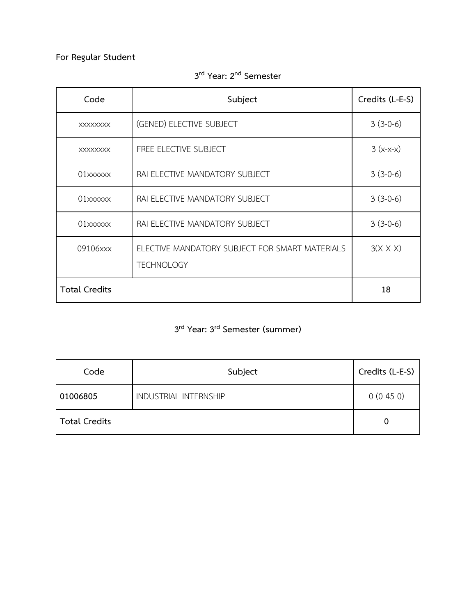# **For Regular Student**

| Code                 | Subject                                                             | Credits (L-E-S) |
|----------------------|---------------------------------------------------------------------|-----------------|
| <b>XXXXXXXX</b>      | (GENED) ELECTIVE SUBJECT                                            | $3(3-0-6)$      |
| <b>XXXXXXXX</b>      | FREE ELECTIVE SUBJECT                                               | $3(x-x-x)$      |
| 01xxxxxx             | RAI ELECTIVE MANDATORY SUBJECT                                      | $3(3-0-6)$      |
|                      | RAI ELECTIVE MANDATORY SUBJECT                                      | $3(3-0-6)$      |
| 01xxxxxx             | RAI ELECTIVE MANDATORY SUBJECT                                      | $3(3-0-6)$      |
| 09106xxx             | ELECTIVE MANDATORY SUBJECT FOR SMART MATERIALS<br><b>TECHNOLOGY</b> | $3(X-X-X)$      |
| <b>Total Credits</b> |                                                                     | 18              |

**3 rd Year: 2 nd Semester**

# **3 rd Year: 3 rd Semester (summer)**

| Code                 | Subject               | Credits (L-E-S) |
|----------------------|-----------------------|-----------------|
| 01006805             | INDUSTRIAL INTERNSHIP | $0(0-45-0)$     |
| <b>Total Credits</b> |                       | 0               |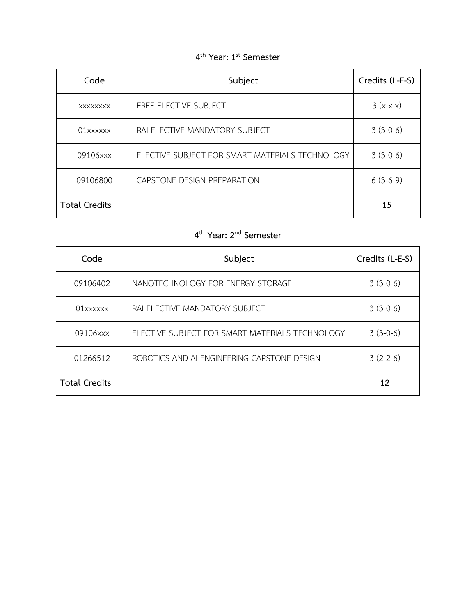# **4 th Year: 1 st Semester**

| Code                 | Subject                                         | Credits (L-E-S) |
|----------------------|-------------------------------------------------|-----------------|
| <b>XXXXXXXX</b>      | FREE ELECTIVE SUBJECT                           | $3(x-x-x)$      |
| 01xxxxxx             | RAI ELECTIVE MANDATORY SUBJECT                  | $3(3-0-6)$      |
| 09106xxx             | ELECTIVE SUBJECT FOR SMART MATERIALS TECHNOLOGY | $3(3-0-6)$      |
| 09106800             | CAPSTONE DESIGN PREPARATION                     | $6(3-6-9)$      |
| <b>Total Credits</b> |                                                 | 15              |

# **4 th Year: 2 nd Semester**

| Code                 | Subject                                         | Credits (L-E-S) |
|----------------------|-------------------------------------------------|-----------------|
| 09106402             | NANOTECHNOLOGY FOR ENERGY STORAGE               | $3(3-0-6)$      |
| $01$ xxxxxx          | RAI ELECTIVE MANDATORY SUBJECT                  | $3(3-0-6)$      |
| 09106xxx             | ELECTIVE SUBJECT FOR SMART MATERIALS TECHNOLOGY | $3(3-0-6)$      |
| 01266512             | ROBOTICS AND AI ENGINEERING CAPSTONE DESIGN     | $3(2-2-6)$      |
| <b>Total Credits</b> |                                                 | 12              |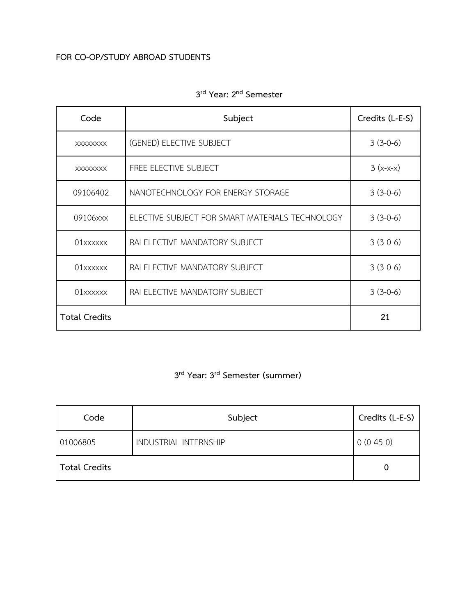## **FOR CO-OP/STUDY ABROAD STUDENTS**

| Code                 | Subject                                         | Credits (L-E-S) |
|----------------------|-------------------------------------------------|-----------------|
| <b>XXXXXXXX</b>      | (GENED) ELECTIVE SUBJECT                        | $3(3-0-6)$      |
| <b>XXXXXXXX</b>      | FREE ELECTIVE SUBJECT                           | $3(x-x-x)$      |
| 09106402             | NANOTECHNOLOGY FOR ENERGY STORAGE               | $3(3-0-6)$      |
| 09106xxx             | ELECTIVE SUBJECT FOR SMART MATERIALS TECHNOLOGY | $3(3-0-6)$      |
| 01xxxxxx             | RAI ELECTIVE MANDATORY SUBJECT                  | $3(3-0-6)$      |
| 01xxxxxx             | RAI ELECTIVE MANDATORY SUBJECT                  | $3(3-0-6)$      |
| 01xxxxxx             | RAI ELECTIVE MANDATORY SUBJECT                  | $3(3-0-6)$      |
| <b>Total Credits</b> |                                                 | 21              |

# **3 rd Year: 2 nd Semester**

# **3 rd Year: 3 rd Semester (summer)**

| Code                 | Subject                      | Credits (L-E-S) |
|----------------------|------------------------------|-----------------|
| 01006805             | <b>INDUSTRIAL INTERNSHIP</b> | $0(0-45-0)$     |
| <b>Total Credits</b> |                              |                 |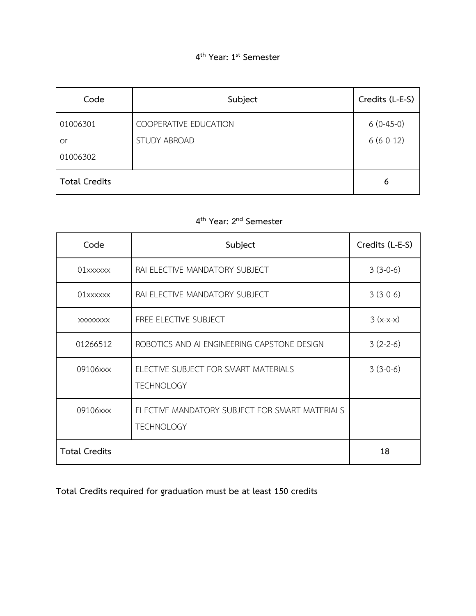| Code                 | Subject                                      | Credits (L-E-S)            |
|----------------------|----------------------------------------------|----------------------------|
| 01006301<br>or       | COOPERATIVE EDUCATION<br><b>STUDY ABROAD</b> | $6(0-45-0)$<br>$6(6-0-12)$ |
| 01006302             |                                              |                            |
| <b>Total Credits</b> |                                              | 6                          |

# **4 th Year: 2 nd Semester**

| Code                 | Subject                                                             | Credits (L-E-S) |
|----------------------|---------------------------------------------------------------------|-----------------|
|                      | RAI ELECTIVE MANDATORY SUBJECT                                      | $3(3-0-6)$      |
| 01xxxxxx             | RAI ELECTIVE MANDATORY SUBJECT                                      | $3(3-0-6)$      |
| <b>XXXXXXXX</b>      | FREE ELECTIVE SUBJECT                                               | $3(x-x-x)$      |
| 01266512             | ROBOTICS AND AI ENGINEERING CAPSTONE DESIGN                         | $3(2-2-6)$      |
| 09106xxx             | ELECTIVE SUBJECT FOR SMART MATERIALS<br><b>TECHNOLOGY</b>           | $3(3-0-6)$      |
| 09106xxx             | ELECTIVE MANDATORY SUBJECT FOR SMART MATERIALS<br><b>TECHNOLOGY</b> |                 |
| <b>Total Credits</b> |                                                                     | 18              |

**Total Credits required for graduation must be at least 150 credits**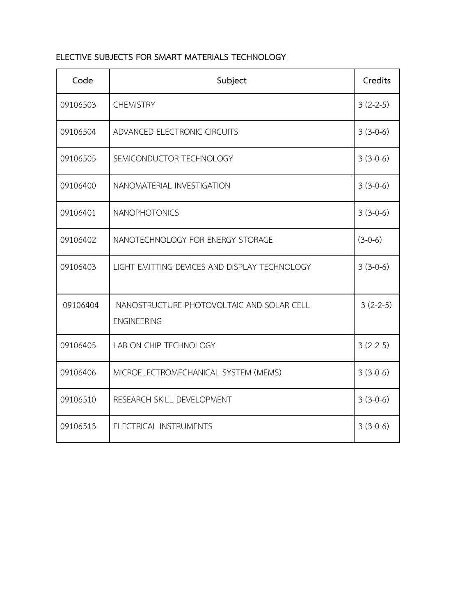## **ELECTIVE SUBJECTS FOR SMART MATERIALS TECHNOLOGY**

| Code     | Subject                                                         | Credits    |
|----------|-----------------------------------------------------------------|------------|
| 09106503 | <b>CHEMISTRY</b>                                                | $3(2-2-5)$ |
| 09106504 | ADVANCED ELECTRONIC CIRCUITS                                    | $3(3-0-6)$ |
| 09106505 | SEMICONDUCTOR TECHNOLOGY                                        | $3(3-0-6)$ |
| 09106400 | NANOMATERIAL INVESTIGATION                                      | $3(3-0-6)$ |
| 09106401 | <b>NANOPHOTONICS</b>                                            | $3(3-0-6)$ |
| 09106402 | NANOTECHNOLOGY FOR ENERGY STORAGE                               | $(3-0-6)$  |
| 09106403 | LIGHT EMITTING DEVICES AND DISPLAY TECHNOLOGY                   | $3(3-0-6)$ |
| 09106404 | NANOSTRUCTURE PHOTOVOLTAIC AND SOLAR CELL<br><b>ENGINEERING</b> | $3(2-2-5)$ |
| 09106405 | LAB-ON-CHIP TECHNOLOGY                                          | $3(2-2-5)$ |
| 09106406 | MICROELECTROMECHANICAL SYSTEM (MEMS)                            | $3(3-0-6)$ |
| 09106510 | RESEARCH SKILL DEVELOPMENT                                      | $3(3-0-6)$ |
| 09106513 | ELECTRICAL INSTRUMENTS                                          | $3(3-0-6)$ |